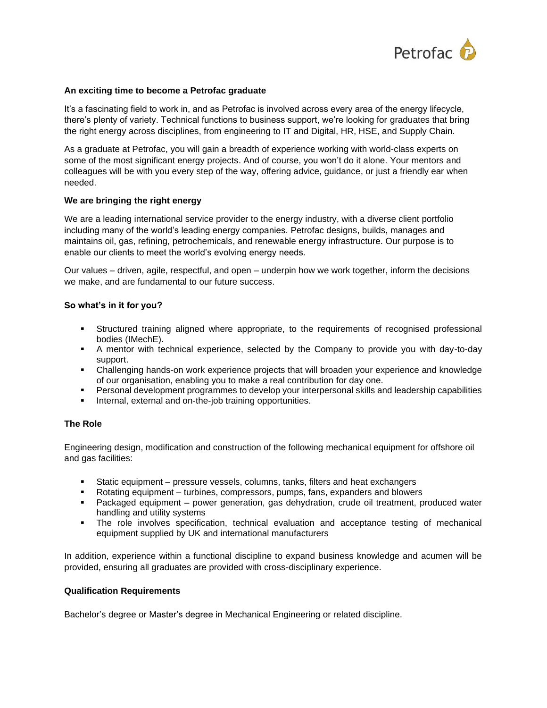

## **An exciting time to become a Petrofac graduate**

It's a fascinating field to work in, and as Petrofac is involved across every area of the energy lifecycle, there's plenty of variety. Technical functions to business support, we're looking for graduates that bring the right energy across disciplines, from engineering to IT and Digital, HR, HSE, and Supply Chain.

As a graduate at Petrofac, you will gain a breadth of experience working with world-class experts on some of the most significant energy projects. And of course, you won't do it alone. Your mentors and colleagues will be with you every step of the way, offering advice, guidance, or just a friendly ear when needed.

## **We are bringing the right energy**

We are a leading international service provider to the energy industry, with a diverse client portfolio including many of the world's leading energy companies. Petrofac designs, builds, manages and maintains oil, gas, refining, petrochemicals, and renewable energy infrastructure. Our purpose is to enable our clients to meet the world's evolving energy needs.

Our values – driven, agile, respectful, and open – underpin how we work together, inform the decisions we make, and are fundamental to our future success.

## **So what's in it for you?**

- Structured training aligned where appropriate, to the requirements of recognised professional bodies (IMechE).
- A mentor with technical experience, selected by the Company to provide you with day-to-day support.
- Challenging hands-on work experience projects that will broaden your experience and knowledge of our organisation, enabling you to make a real contribution for day one.
- Personal development programmes to develop your interpersonal skills and leadership capabilities
- Internal, external and on-the-job training opportunities.

## **The Role**

Engineering design, modification and construction of the following mechanical equipment for offshore oil and gas facilities:

- Static equipment pressure vessels, columns, tanks, filters and heat exchangers
- Rotating equipment turbines, compressors, pumps, fans, expanders and blowers
- Packaged equipment power generation, gas dehydration, crude oil treatment, produced water handling and utility systems
- The role involves specification, technical evaluation and acceptance testing of mechanical equipment supplied by UK and international manufacturers

In addition, experience within a functional discipline to expand business knowledge and acumen will be provided, ensuring all graduates are provided with cross-disciplinary experience.

#### **Qualification Requirements**

Bachelor's degree or Master's degree in Mechanical Engineering or related discipline.